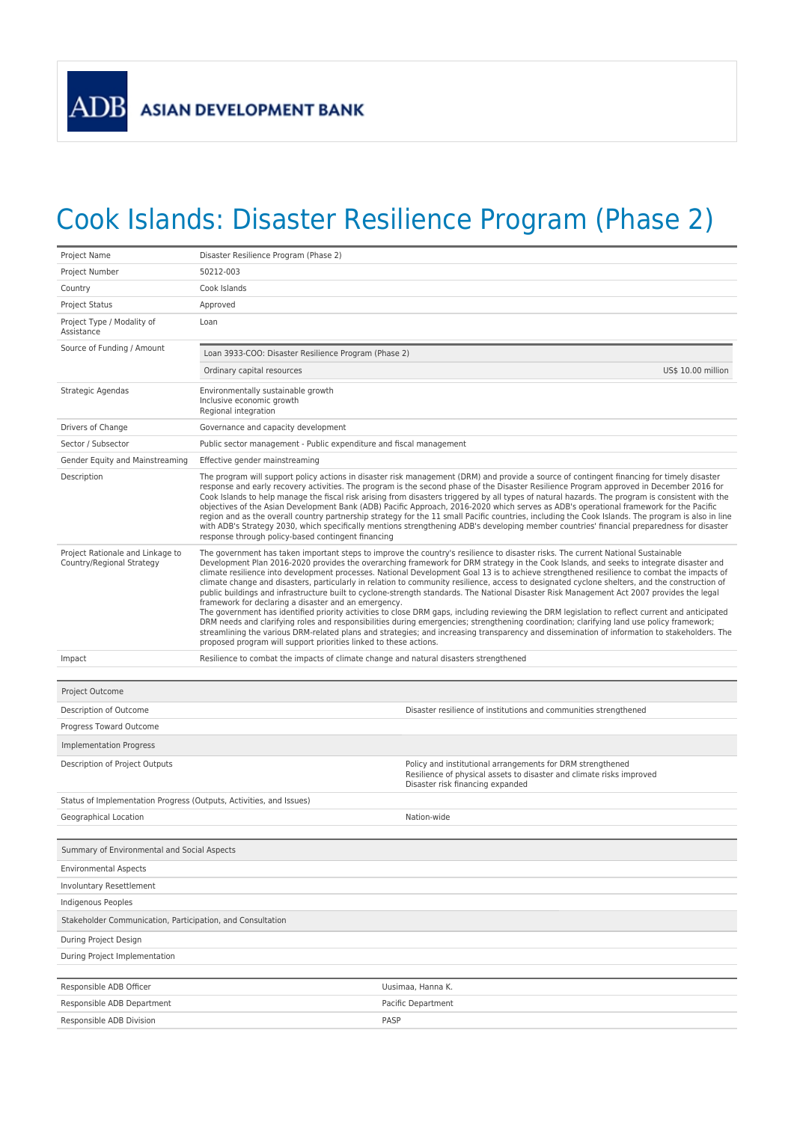## Cook Islands: Disaster Resilience Program (Phase 2)

| Project Name                                                        | Disaster Resilience Program (Phase 2)                                                                                                                                                                                                                                                                                                                                                                                                                                                                                                                                                                                                                                                                                                                                                                                                                                                                                                                                                                                                                                                                                                                                                                                                                                                                  |                                                                                                                                                                        |  |
|---------------------------------------------------------------------|--------------------------------------------------------------------------------------------------------------------------------------------------------------------------------------------------------------------------------------------------------------------------------------------------------------------------------------------------------------------------------------------------------------------------------------------------------------------------------------------------------------------------------------------------------------------------------------------------------------------------------------------------------------------------------------------------------------------------------------------------------------------------------------------------------------------------------------------------------------------------------------------------------------------------------------------------------------------------------------------------------------------------------------------------------------------------------------------------------------------------------------------------------------------------------------------------------------------------------------------------------------------------------------------------------|------------------------------------------------------------------------------------------------------------------------------------------------------------------------|--|
| Project Number                                                      | 50212-003                                                                                                                                                                                                                                                                                                                                                                                                                                                                                                                                                                                                                                                                                                                                                                                                                                                                                                                                                                                                                                                                                                                                                                                                                                                                                              |                                                                                                                                                                        |  |
| Country                                                             | Cook Islands                                                                                                                                                                                                                                                                                                                                                                                                                                                                                                                                                                                                                                                                                                                                                                                                                                                                                                                                                                                                                                                                                                                                                                                                                                                                                           |                                                                                                                                                                        |  |
| <b>Project Status</b>                                               | Approved                                                                                                                                                                                                                                                                                                                                                                                                                                                                                                                                                                                                                                                                                                                                                                                                                                                                                                                                                                                                                                                                                                                                                                                                                                                                                               |                                                                                                                                                                        |  |
| Project Type / Modality of<br>Assistance                            | Loan                                                                                                                                                                                                                                                                                                                                                                                                                                                                                                                                                                                                                                                                                                                                                                                                                                                                                                                                                                                                                                                                                                                                                                                                                                                                                                   |                                                                                                                                                                        |  |
| Source of Funding / Amount                                          | Loan 3933-COO: Disaster Resilience Program (Phase 2)                                                                                                                                                                                                                                                                                                                                                                                                                                                                                                                                                                                                                                                                                                                                                                                                                                                                                                                                                                                                                                                                                                                                                                                                                                                   |                                                                                                                                                                        |  |
|                                                                     | Ordinary capital resources                                                                                                                                                                                                                                                                                                                                                                                                                                                                                                                                                                                                                                                                                                                                                                                                                                                                                                                                                                                                                                                                                                                                                                                                                                                                             | US\$ 10.00 million                                                                                                                                                     |  |
| Strategic Agendas                                                   | Environmentally sustainable growth<br>Inclusive economic growth<br>Regional integration                                                                                                                                                                                                                                                                                                                                                                                                                                                                                                                                                                                                                                                                                                                                                                                                                                                                                                                                                                                                                                                                                                                                                                                                                |                                                                                                                                                                        |  |
| Drivers of Change                                                   | Governance and capacity development                                                                                                                                                                                                                                                                                                                                                                                                                                                                                                                                                                                                                                                                                                                                                                                                                                                                                                                                                                                                                                                                                                                                                                                                                                                                    |                                                                                                                                                                        |  |
| Sector / Subsector                                                  | Public sector management - Public expenditure and fiscal management                                                                                                                                                                                                                                                                                                                                                                                                                                                                                                                                                                                                                                                                                                                                                                                                                                                                                                                                                                                                                                                                                                                                                                                                                                    |                                                                                                                                                                        |  |
| Gender Equity and Mainstreaming                                     | Effective gender mainstreaming                                                                                                                                                                                                                                                                                                                                                                                                                                                                                                                                                                                                                                                                                                                                                                                                                                                                                                                                                                                                                                                                                                                                                                                                                                                                         |                                                                                                                                                                        |  |
| Description                                                         | The program will support policy actions in disaster risk management (DRM) and provide a source of contingent financing for timely disaster<br>response and early recovery activities. The program is the second phase of the Disaster Resilience Program approved in December 2016 for<br>Cook Islands to help manage the fiscal risk arising from disasters triggered by all types of natural hazards. The program is consistent with the<br>objectives of the Asian Development Bank (ADB) Pacific Approach, 2016-2020 which serves as ADB's operational framework for the Pacific<br>region and as the overall country partnership strategy for the 11 small Pacific countries, including the Cook Islands. The program is also in line<br>with ADB's Strategy 2030, which specifically mentions strengthening ADB's developing member countries' financial preparedness for disaster<br>response through policy-based contingent financing                                                                                                                                                                                                                                                                                                                                                         |                                                                                                                                                                        |  |
| Project Rationale and Linkage to<br>Country/Regional Strategy       | The government has taken important steps to improve the country's resilience to disaster risks. The current National Sustainable<br>Development Plan 2016-2020 provides the overarching framework for DRM strategy in the Cook Islands, and seeks to integrate disaster and<br>climate resilience into development processes. National Development Goal 13 is to achieve strengthened resilience to combat the impacts of<br>climate change and disasters, particularly in relation to community resilience, access to designated cyclone shelters, and the construction of<br>public buildings and infrastructure built to cyclone-strength standards. The National Disaster Risk Management Act 2007 provides the legal<br>framework for declaring a disaster and an emergency.<br>The government has identified priority activities to close DRM gaps, including reviewing the DRM legislation to reflect current and anticipated<br>DRM needs and clarifying roles and responsibilities during emergencies; strengthening coordination; clarifying land use policy framework;<br>streamlining the various DRM-related plans and strategies; and increasing transparency and dissemination of information to stakeholders. The<br>proposed program will support priorities linked to these actions. |                                                                                                                                                                        |  |
| Impact                                                              | Resilience to combat the impacts of climate change and natural disasters strengthened                                                                                                                                                                                                                                                                                                                                                                                                                                                                                                                                                                                                                                                                                                                                                                                                                                                                                                                                                                                                                                                                                                                                                                                                                  |                                                                                                                                                                        |  |
|                                                                     |                                                                                                                                                                                                                                                                                                                                                                                                                                                                                                                                                                                                                                                                                                                                                                                                                                                                                                                                                                                                                                                                                                                                                                                                                                                                                                        |                                                                                                                                                                        |  |
| Project Outcome                                                     |                                                                                                                                                                                                                                                                                                                                                                                                                                                                                                                                                                                                                                                                                                                                                                                                                                                                                                                                                                                                                                                                                                                                                                                                                                                                                                        |                                                                                                                                                                        |  |
| Description of Outcome                                              |                                                                                                                                                                                                                                                                                                                                                                                                                                                                                                                                                                                                                                                                                                                                                                                                                                                                                                                                                                                                                                                                                                                                                                                                                                                                                                        | Disaster resilience of institutions and communities strengthened                                                                                                       |  |
| Progress Toward Outcome                                             |                                                                                                                                                                                                                                                                                                                                                                                                                                                                                                                                                                                                                                                                                                                                                                                                                                                                                                                                                                                                                                                                                                                                                                                                                                                                                                        |                                                                                                                                                                        |  |
| Implementation Progress                                             |                                                                                                                                                                                                                                                                                                                                                                                                                                                                                                                                                                                                                                                                                                                                                                                                                                                                                                                                                                                                                                                                                                                                                                                                                                                                                                        |                                                                                                                                                                        |  |
| Description of Project Outputs                                      |                                                                                                                                                                                                                                                                                                                                                                                                                                                                                                                                                                                                                                                                                                                                                                                                                                                                                                                                                                                                                                                                                                                                                                                                                                                                                                        | Policy and institutional arrangements for DRM strengthened<br>Resilience of physical assets to disaster and climate risks improved<br>Disaster risk financing expanded |  |
| Status of Implementation Progress (Outputs, Activities, and Issues) |                                                                                                                                                                                                                                                                                                                                                                                                                                                                                                                                                                                                                                                                                                                                                                                                                                                                                                                                                                                                                                                                                                                                                                                                                                                                                                        |                                                                                                                                                                        |  |
| Geographical Location                                               |                                                                                                                                                                                                                                                                                                                                                                                                                                                                                                                                                                                                                                                                                                                                                                                                                                                                                                                                                                                                                                                                                                                                                                                                                                                                                                        | Nation-wide                                                                                                                                                            |  |
|                                                                     |                                                                                                                                                                                                                                                                                                                                                                                                                                                                                                                                                                                                                                                                                                                                                                                                                                                                                                                                                                                                                                                                                                                                                                                                                                                                                                        |                                                                                                                                                                        |  |
| Summary of Environmental and Social Aspects                         |                                                                                                                                                                                                                                                                                                                                                                                                                                                                                                                                                                                                                                                                                                                                                                                                                                                                                                                                                                                                                                                                                                                                                                                                                                                                                                        |                                                                                                                                                                        |  |
| <b>Environmental Aspects</b>                                        |                                                                                                                                                                                                                                                                                                                                                                                                                                                                                                                                                                                                                                                                                                                                                                                                                                                                                                                                                                                                                                                                                                                                                                                                                                                                                                        |                                                                                                                                                                        |  |
| Involuntary Resettlement                                            |                                                                                                                                                                                                                                                                                                                                                                                                                                                                                                                                                                                                                                                                                                                                                                                                                                                                                                                                                                                                                                                                                                                                                                                                                                                                                                        |                                                                                                                                                                        |  |
| Indigenous Peoples                                                  |                                                                                                                                                                                                                                                                                                                                                                                                                                                                                                                                                                                                                                                                                                                                                                                                                                                                                                                                                                                                                                                                                                                                                                                                                                                                                                        |                                                                                                                                                                        |  |
| Stakeholder Communication, Participation, and Consultation          |                                                                                                                                                                                                                                                                                                                                                                                                                                                                                                                                                                                                                                                                                                                                                                                                                                                                                                                                                                                                                                                                                                                                                                                                                                                                                                        |                                                                                                                                                                        |  |
| During Project Design                                               |                                                                                                                                                                                                                                                                                                                                                                                                                                                                                                                                                                                                                                                                                                                                                                                                                                                                                                                                                                                                                                                                                                                                                                                                                                                                                                        |                                                                                                                                                                        |  |
| During Project Implementation                                       |                                                                                                                                                                                                                                                                                                                                                                                                                                                                                                                                                                                                                                                                                                                                                                                                                                                                                                                                                                                                                                                                                                                                                                                                                                                                                                        |                                                                                                                                                                        |  |
| Responsible ADB Officer                                             |                                                                                                                                                                                                                                                                                                                                                                                                                                                                                                                                                                                                                                                                                                                                                                                                                                                                                                                                                                                                                                                                                                                                                                                                                                                                                                        | Uusimaa, Hanna K.                                                                                                                                                      |  |
| Responsible ADB Department                                          |                                                                                                                                                                                                                                                                                                                                                                                                                                                                                                                                                                                                                                                                                                                                                                                                                                                                                                                                                                                                                                                                                                                                                                                                                                                                                                        | Pacific Department                                                                                                                                                     |  |
| Responsible ADB Division                                            |                                                                                                                                                                                                                                                                                                                                                                                                                                                                                                                                                                                                                                                                                                                                                                                                                                                                                                                                                                                                                                                                                                                                                                                                                                                                                                        | PASP                                                                                                                                                                   |  |